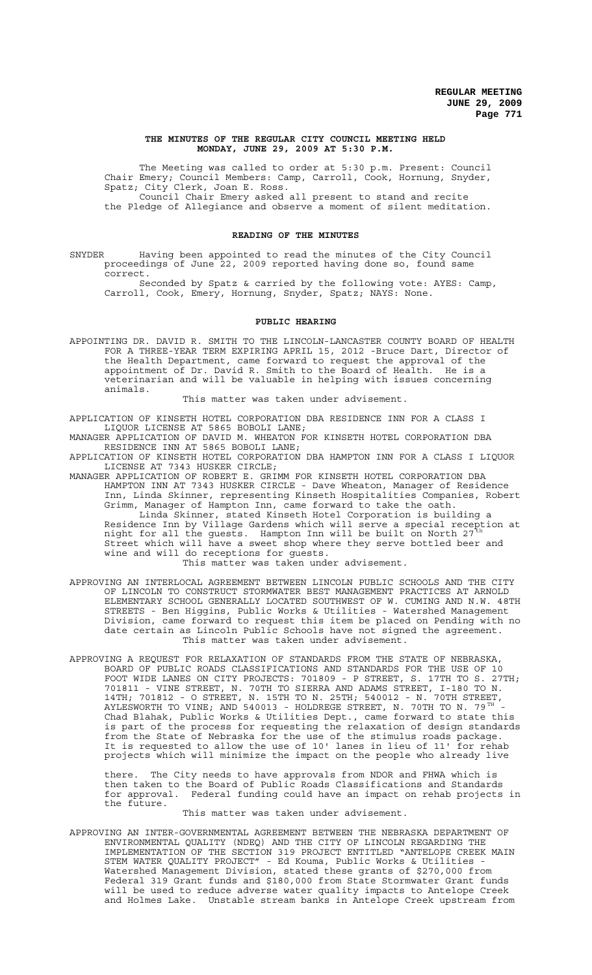#### **THE MINUTES OF THE REGULAR CITY COUNCIL MEETING HELD MONDAY, JUNE 29, 2009 AT 5:30 P.M.**

The Meeting was called to order at 5:30 p.m. Present: Council Chair Emery; Council Members: Camp, Carroll, Cook, Hornung, Snyder, Spatz; City Clerk, Joan E. Ross.

Council Chair Emery asked all present to stand and recite the Pledge of Allegiance and observe a moment of silent meditation.

## **READING OF THE MINUTES**

SNYDER Having been appointed to read the minutes of the City Council proceedings of June 22, 2009 reported having done so, found same correct.

Seconded by Spatz & carried by the following vote: AYES: Camp, Carroll, Cook, Emery, Hornung, Snyder, Spatz; NAYS: None.

## **PUBLIC HEARING**

APPOINTING DR. DAVID R. SMITH TO THE LINCOLN-LANCASTER COUNTY BOARD OF HEALTH FOR A THREE-YEAR TERM EXPIRING APRIL 15, 2012 -Bruce Dart, Director of the Health Department, came forward to request the approval of the appointment of Dr. David R. Smith to the Board of Health. He is a veterinarian and will be valuable in helping with issues concerning animals.

#### This matter was taken under advisement.

APPLICATION OF KINSETH HOTEL CORPORATION DBA RESIDENCE INN FOR A CLASS I LIQUOR LICENSE AT 5865 BOBOLI LANE;

MANAGER APPLICATION OF DAVID M. WHEATON FOR KINSETH HOTEL CORPORATION DBA RESIDENCE INN AT 5865 BOBOLI LANE;

APPLICATION OF KINSETH HOTEL CORPORATION DBA HAMPTON INN FOR A CLASS I LIQUOR LICENSE AT 7343 HUSKER CIRCLE;

MANAGER APPLICATION OF ROBERT E. GRIMM FOR KINSETH HOTEL CORPORATION DBA HAMPTON INN AT 7343 HUSKER CIRCLE - Dave Wheaton, Manager of Residence Inn, Linda Skinner, representing Kinseth Hospitalities Companies, Robert Grimm, Manager of Hampton Inn, came forward to take the oath. Linda Skinner, stated Kinseth Hotel Corporation is building a Residence Inn by Village Gardens which will serve a special reception at night for all the guests. Hampton Inn will be built on North 27th

Street which will have a sweet shop where they serve bottled beer and wine and will do receptions for guests.

This matter was taken under advisement.

- APPROVING AN INTERLOCAL AGREEMENT BETWEEN LINCOLN PUBLIC SCHOOLS AND THE CITY OF LINCOLN TO CONSTRUCT STORMWATER BEST MANAGEMENT PRACTICES AT ARNOLD ELEMENTARY SCHOOL GENERALLY LOCATED SOUTHWEST OF W. CUMING AND N.W. 48TH STREETS - Ben Higgins, Public Works & Utilities - Watershed Management Division, came forward to request this item be placed on Pending with no date certain as Lincoln Public Schools have not signed the agreement. This matter was taken under advisement.
- APPROVING A REQUEST FOR RELAXATION OF STANDARDS FROM THE STATE OF NEBRASKA, BOARD OF PUBLIC ROADS CLASSIFICATIONS AND STANDARDS FOR THE USE OF 10 FOOT WIDE LANES ON CITY PROJECTS: 701809 - P STREET, S. 17TH TO S. 27TH; 701811 - VINE STREET, N. 70TH TO SIERRA AND ADAMS STREET, I-180 TO N. 14TH; 701812 - O STREET, N. 15TH TO N. 25TH; 540012 - N. 70TH STREET, AYLESWORTH TO VINE; AND 540013 - HOLDREGE STREET, N. 70TH TO N. 79<sup>TH '</sup>-<br>Chad Blahak, Public Works & Utilities Dept., came forward to state this is part of the process for requesting the relaxation of design standards from the State of Nebraska for the use of the stimulus roads package. It is requested to allow the use of 10' lanes in lieu of 11' for rehab projects which will minimize the impact on the people who already live

there. The City needs to have approvals from NDOR and FHWA which is then taken to the Board of Public Roads Classifications and Standards for approval. Federal funding could have an impact on rehab projects in the future.

## This matter was taken under advisement.

APPROVING AN INTER-GOVERNMENTAL AGREEMENT BETWEEN THE NEBRASKA DEPARTMENT OF ENVIRONMENTAL QUALITY (NDEQ) AND THE CITY OF LINCOLN REGARDING THE IMPLEMENTATION OF THE SECTION 319 PROJECT ENTITLED "ANTELOPE CREEK MAIN STEM WATER QUALITY PROJECT" - Ed Kouma, Public Works & Utilities - Watershed Management Division, stated these grants of \$270,000 from Federal 319 Grant funds and \$180,000 from State Stormwater Grant funds will be used to reduce adverse water quality impacts to Antelope Creek and Holmes Lake. Unstable stream banks in Antelope Creek upstream from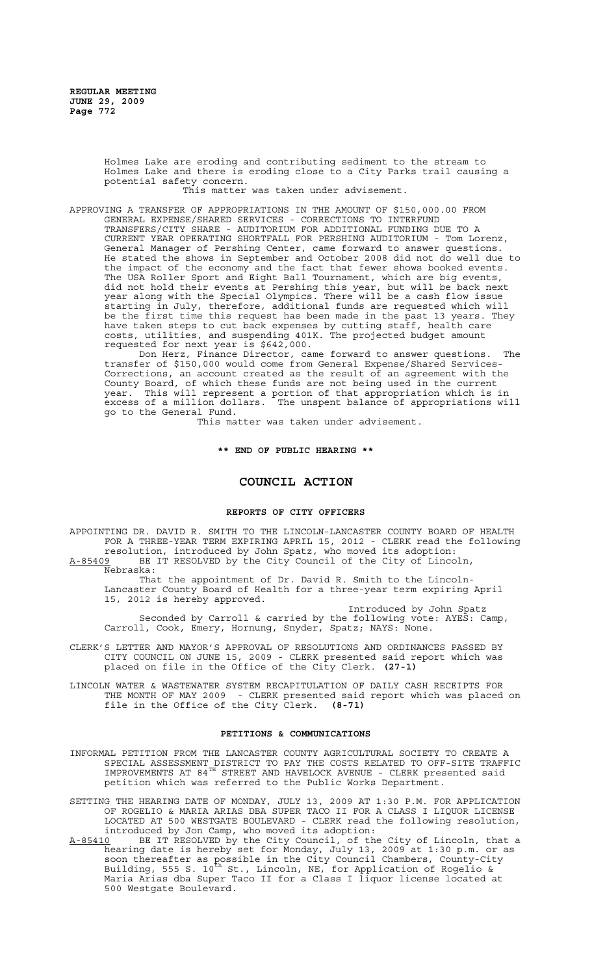Holmes Lake are eroding and contributing sediment to the stream to Holmes Lake and there is eroding close to a City Parks trail causing a potential safety concern.

This matter was taken under advisement.

APPROVING A TRANSFER OF APPROPRIATIONS IN THE AMOUNT OF \$150,000.00 FROM GENERAL EXPENSE/SHARED SERVICES - CORRECTIONS TO INTERFUND TRANSFERS/CITY SHARE - AUDITORIUM FOR ADDITIONAL FUNDING DUE TO A CURRENT YEAR OPERATING SHORTFALL FOR PERSHING AUDITORIUM - Tom Lorenz, General Manager of Pershing Center, came forward to answer questions. He stated the shows in September and October 2008 did not do well due to the impact of the economy and the fact that fewer shows booked events. The USA Roller Sport and Eight Ball Tournament, which are big events, did not hold their events at Pershing this year, but will be back next year along with the Special Olympics. There will be a cash flow issue starting in July, therefore, additional funds are requested which will be the first time this request has been made in the past 13 years. They have taken steps to cut back expenses by cutting staff, health care costs, utilities, and suspending 401K. The projected budget amount requested for next year is \$642,000.

Don Herz, Finance Director, came forward to answer questions. The transfer of \$150,000 would come from General Expense/Shared Services-Corrections, an account created as the result of an agreement with the County Board, of which these funds are not being used in the current year. This will represent a portion of that appropriation which is in excess of a million dollars. The unspent balance of appropriations will go to the General Fund.

This matter was taken under advisement.

**\*\* END OF PUBLIC HEARING \*\***

# **COUNCIL ACTION**

## **REPORTS OF CITY OFFICERS**

APPOINTING DR. DAVID R. SMITH TO THE LINCOLN-LANCASTER COUNTY BOARD OF HEALTH FOR A THREE-YEAR TERM EXPIRING APRIL 15, 2012 - CLERK read the following resolution, introduced by John Spatz, who moved its adoption: A-85409 BE IT RESOLVED by the City Council of the City of Lincoln,

Nebraska:

That the appointment of Dr. David R. Smith to the Lincoln-Lancaster County Board of Health for a three-year term expiring April 15, 2012 is hereby approved.

Introduced by John Spatz Seconded by Carroll & carried by the following vote: AYES: Camp, Carroll, Cook, Emery, Hornung, Snyder, Spatz; NAYS: None.

- CLERK'S LETTER AND MAYOR'S APPROVAL OF RESOLUTIONS AND ORDINANCES PASSED BY CITY COUNCIL ON JUNE 15, 2009 - CLERK presented said report which was placed on file in the Office of the City Clerk. **(27-1)**
- LINCOLN WATER & WASTEWATER SYSTEM RECAPITULATION OF DAILY CASH RECEIPTS FOR THE MONTH OF MAY 2009 - CLERK presented said report which was placed on file in the Office of the City Clerk. **(8-71)**

#### **PETITIONS & COMMUNICATIONS**

- INFORMAL PETITION FROM THE LANCASTER COUNTY AGRICULTURAL SOCIETY TO CREATE A SPECIAL ASSESSMENT DISTRICT TO PAY THE COSTS RELATED TO OFF-SITE TRAFFIC IMPROVEMENTS AT 84<sup>TH</sup> STREET AND HAVELOCK AVENUE - CLERK presented said petition which was referred to the Public Works Department.
- SETTING THE HEARING DATE OF MONDAY, JULY 13, 2009 AT 1:30 P.M. FOR APPLICATION OF ROGELIO & MARIA ARIAS DBA SUPER TACO II FOR A CLASS I LIQUOR LICENSE LOCATED AT 500 WESTGATE BOULEVARD - CLERK read the following resolution, introduced by Jon Camp, who moved its adoption:
- A-85410 BE IT RESOLVED by the City Council, of the City of Lincoln, that a hearing date is hereby set for Monday, July 13, 2009 at 1:30 p.m. or as soon thereafter as possible in the City Council Chambers, County-City Building, 555 S. 10<sup>th</sup> St., Lincoln, NE, for Application of Rogelio & Maria Arias dba Super Taco II for a Class I liquor license located at 500 Westgate Boulevard.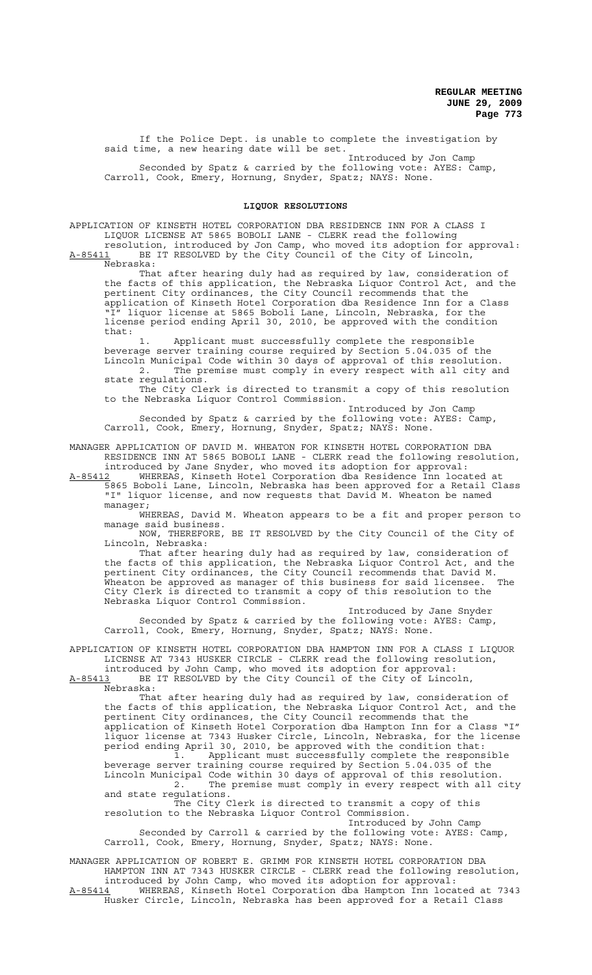If the Police Dept. is unable to complete the investigation by said time, a new hearing date will be set.

Introduced by Jon Camp Seconded by Spatz & carried by the following vote: AYES: Camp, Carroll, Cook, Emery, Hornung, Snyder, Spatz; NAYS: None.

## **LIQUOR RESOLUTIONS**

APPLICATION OF KINSETH HOTEL CORPORATION DBA RESIDENCE INN FOR A CLASS I LIQUOR LICENSE AT 5865 BOBOLI LANE - CLERK read the following resolution, introduced by Jon Camp, who moved its adoption for approval:

A-85411 BE IT RESOLVED by the City Council of the City of Lincoln, Nebraska:

That after hearing duly had as required by law, consideration of the facts of this application, the Nebraska Liquor Control Act, and the pertinent City ordinances, the City Council recommends that the application of Kinseth Hotel Corporation dba Residence Inn for a Class "I" liquor license at 5865 Boboli Lane, Lincoln, Nebraska, for the license period ending April 30, 2010, be approved with the condition that:

Applicant must successfully complete the responsible beverage server training course required by Section 5.04.035 of the Lincoln Municipal Code within 30 days of approval of this resolution. 2. The premise must comply in every respect with all city and state regulations.

The City Clerk is directed to transmit a copy of this resolution to the Nebraska Liquor Control Commission.

Introduced by Jon Camp Seconded by Spatz & carried by the following vote: AYES: Camp, Carroll, Cook, Emery, Hornung, Snyder, Spatz; NAYS: None.

MANAGER APPLICATION OF DAVID M. WHEATON FOR KINSETH HOTEL CORPORATION DBA RESIDENCE INN AT 5865 BOBOLI LANE - CLERK read the following resolution, introduced by Jane Snyder, who moved its adoption for approval:<br>A-85412 WHEREAS, Kinseth Hotel Corporation dba Residence Inn loca

WHEREAS, Kinseth Hotel Corporation dba Residence Inn located at 5865 Boboli Lane, Lincoln, Nebraska has been approved for a Retail Class "I" liquor license, and now requests that David M. Wheaton be named manager;

WHEREAS, David M. Wheaton appears to be a fit and proper person to manage said business.

NOW, THEREFORE, BE IT RESOLVED by the City Council of the City of Lincoln, Nebraska:

That after hearing duly had as required by law, consideration of the facts of this application, the Nebraska Liquor Control Act, and the pertinent City ordinances, the City Council recommends that David M. wheaton be approved as manager of this business for said licensee. The City Clerk is directed to transmit a copy of this resolution to the Nebraska Liquor Control Commission.

Introduced by Jane Snyder Seconded by Spatz & carried by the following vote: AYES: Camp, Carroll, Cook, Emery, Hornung, Snyder, Spatz; NAYS: None.

APPLICATION OF KINSETH HOTEL CORPORATION DBA HAMPTON INN FOR A CLASS I LIQUOR LICENSE AT 7343 HUSKER CIRCLE - CLERK read the following resolution, introduced by John Camp, who moved its adoption for approval:

A-85413 BE IT RESOLVED by the City Council of the City of Lincoln, Nebraska:

That after hearing duly had as required by law, consideration of the facts of this application, the Nebraska Liquor Control Act, and the pertinent City ordinances, the City Council recommends that the application of Kinseth Hotel Corporation dba Hampton Inn for a Class "I" liquor license at 7343 Husker Circle, Lincoln, Nebraska, for the license period ending April 30, 2010, be approved with the condition that: 1. Applicant must successfully complete the responsible beverage server training course required by Section 5.04.035 of the Lincoln Municipal Code within 30 days of approval of this resolution. 2. The premise must comply in every respect with all city and state regulations. The City Clerk is directed to transmit a copy of this resolution to the Nebraska Liquor Control Commission. Introduced by John Camp

Seconded by Carroll & carried by the following vote: AYES: Camp, Carroll, Cook, Emery, Hornung, Snyder, Spatz; NAYS: None.

MANAGER APPLICATION OF ROBERT E. GRIMM FOR KINSETH HOTEL CORPORATION DBA HAMPTON INN AT 7343 HUSKER CIRCLE - CLERK read the following resolution, introduced by John Camp, who moved its adoption for approval: A-85414 MHEREAS, Kinseth Hotel Corporation dba Hampton Inn located at 7343

Husker Circle, Lincoln, Nebraska has been approved for a Retail Class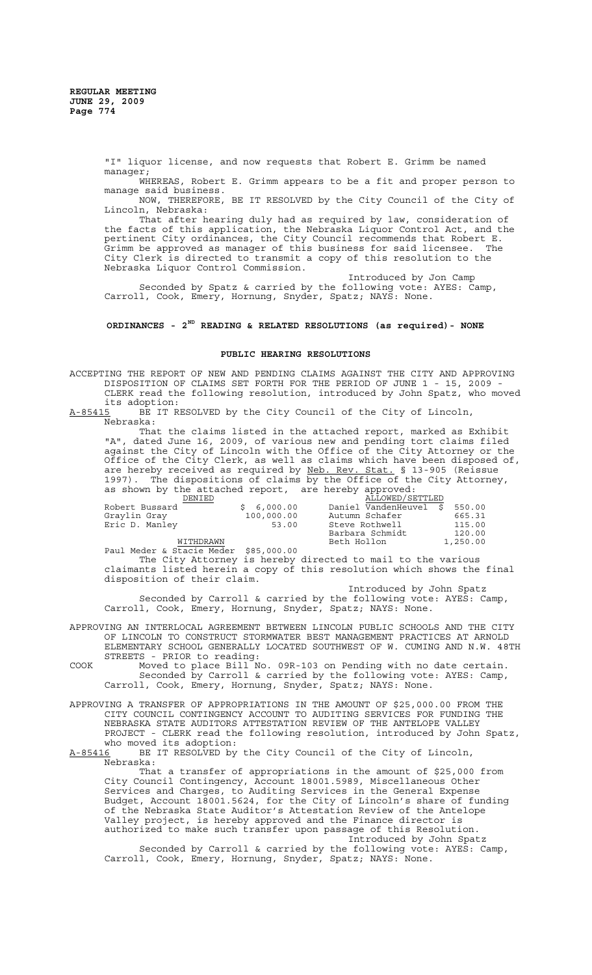"I" liquor license, and now requests that Robert E. Grimm be named manager;

WHEREAS, Robert E. Grimm appears to be a fit and proper person to manage said business.

NOW, THEREFORE, BE IT RESOLVED by the City Council of the City of Lincoln, Nebraska:

That after hearing duly had as required by law, consideration of the facts of this application, the Nebraska Liquor Control Act, and the pertinent City ordinances, the City Council recommends that Robert E. Grimm be approved as manager of this business for said licensee. The City Clerk is directed to transmit a copy of this resolution to the Nebraska Liquor Control Commission.

Introduced by Jon Camp Seconded by Spatz & carried by the following vote: AYES: Camp, Carroll, Cook, Emery, Hornung, Snyder, Spatz; NAYS: None.

## **ORDINANCES - 2ND READING & RELATED RESOLUTIONS (as required)- NONE**

### **PUBLIC HEARING RESOLUTIONS**

ACCEPTING THE REPORT OF NEW AND PENDING CLAIMS AGAINST THE CITY AND APPROVING DISPOSITION OF CLAIMS SET FORTH FOR THE PERIOD OF JUNE 1 - 15, 2009 - CLERK read the following resolution, introduced by John Spatz, who moved its adoption:

A-85415 BE IT RESOLVED by the City Council of the City of Lincoln, Nebraska:

That the claims listed in the attached report, marked as Exhibit "A", dated June 16, 2009, of various new and pending tort claims filed against the City of Lincoln with the Office of the City Attorney or the Office of the City Clerk, as well as claims which have been disposed of, are hereby received as required by Neb. Rev. Stat. § 13-905 (Reissue 1997). The dispositions of claims by the Office of the City Attorney, as shown by the attached report, are hereby approved:

| DENIED         |            | ALLOWED/SETTLED        |          |
|----------------|------------|------------------------|----------|
| Robert Bussard | \$6.000.00 | Daniel VandenHeuvel \$ | 550.00   |
| Graylin Gray   | 100,000.00 | Autumn Schafer         | 665.31   |
| Eric D. Manley | 53.00      | Steve Rothwell         | 115.00   |
|                |            | Barbara Schmidt        | 120.00   |
| WITHDRAWN      |            | Beth Hollon            | 1,250.00 |

Paul Meder & Stacie Meder \$85,000.00

The City Attorney is hereby directed to mail to the various claimants listed herein a copy of this resolution which shows the final disposition of their claim.

Introduced by John Spatz Seconded by Carroll & carried by the following vote: AYES: Camp, Carroll, Cook, Emery, Hornung, Snyder, Spatz; NAYS: None.

APPROVING AN INTERLOCAL AGREEMENT BETWEEN LINCOLN PUBLIC SCHOOLS AND THE CITY OF LINCOLN TO CONSTRUCT STORMWATER BEST MANAGEMENT PRACTICES AT ARNOLD ELEMENTARY SCHOOL GENERALLY LOCATED SOUTHWEST OF W. CUMING AND N.W. 48TH STREETS - PRIOR to reading:

- COOK Moved to place Bill No. 09R-103 on Pending with no date certain. Seconded by Carroll & carried by the following vote: AYES: Camp, Carroll, Cook, Emery, Hornung, Snyder, Spatz; NAYS: None.
- APPROVING A TRANSFER OF APPROPRIATIONS IN THE AMOUNT OF \$25,000.00 FROM THE CITY COUNCIL CONTINGENCY ACCOUNT TO AUDITING SERVICES FOR FUNDING THE NEBRASKA STATE AUDITORS ATTESTATION REVIEW OF THE ANTELOPE VALLEY PROJECT - CLERK read the following resolution, introduced by John Spatz, who moved its adoption:

#### A-85416 BE IT RESOLVED by the City Council of the City of Lincoln, Nebraska:

That a transfer of appropriations in the amount of \$25,000 from City Council Contingency, Account 18001.5989, Miscellaneous Other Services and Charges, to Auditing Services in the General Expense Budget, Account 18001.5624, for the City of Lincoln's share of funding of the Nebraska State Auditor's Attestation Review of the Antelope Valley project, is hereby approved and the Finance director is authorized to make such transfer upon passage of this Resolution. Introduced by John Spatz

Seconded by Carroll & carried by the following vote: AYES: Camp, Carroll, Cook, Emery, Hornung, Snyder, Spatz; NAYS: None.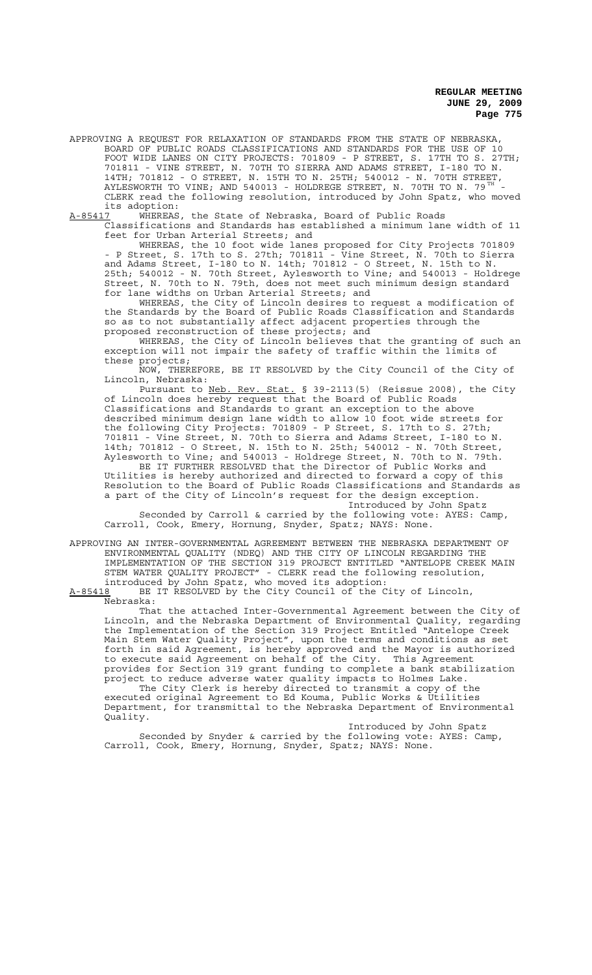APPROVING A REQUEST FOR RELAXATION OF STANDARDS FROM THE STATE OF NEBRASKA, BOARD OF PUBLIC ROADS CLASSIFICATIONS AND STANDARDS FOR THE USE OF 10 FOOT WIDE LANES ON CITY PROJECTS: 701809 - P STREET, S. 17TH TO S. 27TH; 701811 - VINE STREET, N. 70TH TO SIERRA AND ADAMS STREET, I-180 TO N. 14TH; 701812 - O STREET, N. 15TH TO N. 25TH; 540012 - N. 70TH STREET, AYLESWORTH TO VINE; AND 540013 - HOLDREGE STREET, N. 70TH TO N. 79  $^{\mathrm{TH}}$  -CLERK read the following resolution, introduced by John Spatz, who moved its adoption:

A-85417 WHEREAS, the State of Nebraska, Board of Public Roads Classifications and Standards has established a minimum lane width of 11 feet for Urban Arterial Streets; and

WHEREAS, the 10 foot wide lanes proposed for City Projects 701809 - P Street, S. 17th to S. 27th; 701811 - Vine Street, N. 70th to Sierra and Adams Street, I-180 to N. 14th; 701812 - O Street, N. 15th to N. 25th; 540012 - N. 70th Street, Aylesworth to Vine; and 540013 - Holdrege Street, N. 70th to N. 79th, does not meet such minimum design standard for lane widths on Urban Arterial Streets; and

WHEREAS, the City of Lincoln desires to request a modification of the Standards by the Board of Public Roads Classification and Standards so as to not substantially affect adjacent properties through the proposed reconstruction of these projects; and

WHEREAS, the City of Lincoln believes that the granting of such an exception will not impair the safety of traffic within the limits of these projects;

NOW, THEREFORE, BE IT RESOLVED by the City Council of the City of Lincoln, Nebraska:

Pursuant to <u>Neb. Rev. Stat.</u> § 39-2113(5) (Reissue 2008), the City of Lincoln does hereby request that the Board of Public Roads Classifications and Standards to grant an exception to the above described minimum design lane width to allow 10 foot wide streets for the following City Projects: 701809 - P Street, S. 17th to S. 27th; 701811 - Vine Street, N. 70th to Sierra and Adams Street, I-180 to N. 14th; 701812 - O Street, N. 15th to N. 25th; 540012 - N. 70th Street, Aylesworth to Vine; and 540013 - Holdrege Street, N. 70th to N. 79th. BE IT FURTHER RESOLVED that the Director of Public Works and Utilities is hereby authorized and directed to forward a copy of this Resolution to the Board of Public Roads Classifications and Standards as

a part of the City of Lincoln's request for the design exception. Introduced by John Spatz

Seconded by Carroll & carried by the following vote: AYES: Camp, Carroll, Cook, Emery, Hornung, Snyder, Spatz; NAYS: None.

APPROVING AN INTER-GOVERNMENTAL AGREEMENT BETWEEN THE NEBRASKA DEPARTMENT OF ENVIRONMENTAL QUALITY (NDEQ) AND THE CITY OF LINCOLN REGARDING THE IMPLEMENTATION OF THE SECTION 319 PROJECT ENTITLED "ANTELOPE CREEK MAIN STEM WATER QUALITY PROJECT" - CLERK read the following resolution, introduced by John Spatz, who moved its adoption:<br>A-85418 BE IT RESOLVED by the City Council of the C

BE IT RESOLVED by the City Council of the City of Lincoln, Nebraska:

That the attached Inter-Governmental Agreement between the City of Lincoln, and the Nebraska Department of Environmental Quality, regarding the Implementation of the Section 319 Project Entitled "Antelope Creek Main Stem Water Quality Project", upon the terms and conditions as set forth in said Agreement, is hereby approved and the Mayor is authorized to execute said Agreement on behalf of the City. This Agreement provides for Section 319 grant funding to complete a bank stabilization project to reduce adverse water quality impacts to Holmes Lake.

The City Clerk is hereby directed to transmit a copy of the executed original Agreement to Ed Kouma, Public Works & Utilities Department, for transmittal to the Nebraska Department of Environmental Quality.

Introduced by John Spatz Seconded by Snyder & carried by the following vote: AYES: Camp, Carroll, Cook, Emery, Hornung, Snyder, Spatz; NAYS: None.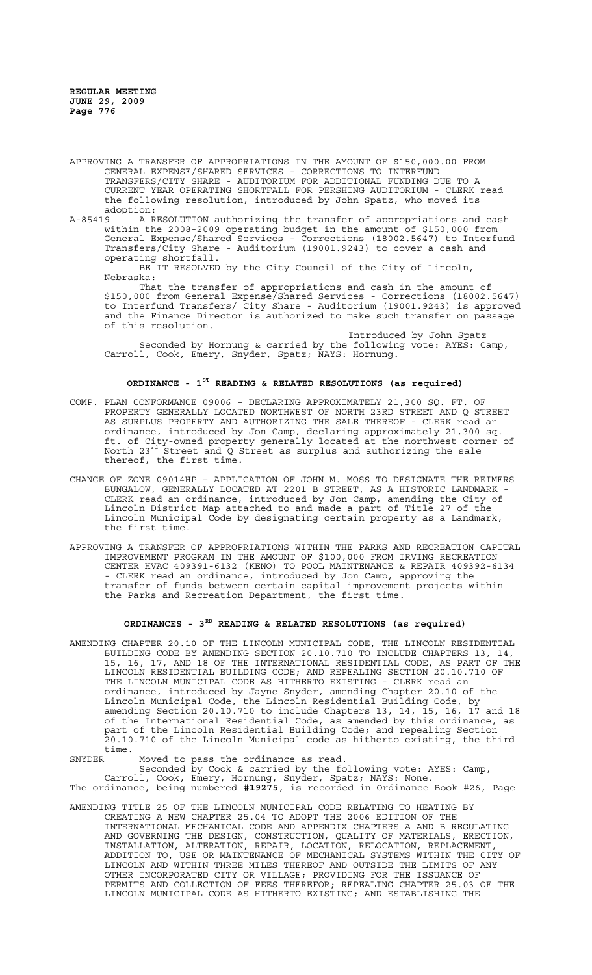APPROVING A TRANSFER OF APPROPRIATIONS IN THE AMOUNT OF \$150,000.00 FROM GENERAL EXPENSE/SHARED SERVICES - CORRECTIONS TO INTERFUND TRANSFERS/CITY SHARE - AUDITORIUM FOR ADDITIONAL FUNDING DUE TO A CURRENT YEAR OPERATING SHORTFALL FOR PERSHING AUDITORIUM - CLERK read the following resolution, introduced by John Spatz, who moved its adoption:<br><u>A-85419</u> A R

A RESOLUTION authorizing the transfer of appropriations and cash within the 2008-2009 operating budget in the amount of \$150,000 from General Expense/Shared Services - Corrections (18002.5647) to Interfund Transfers/City Share - Auditorium (19001.9243) to cover a cash and operating shortfall.

BE IT RESOLVED by the City Council of the City of Lincoln, Nebraska:

That the transfer of appropriations and cash in the amount of \$150,000 from General Expense/Shared Services - Corrections (18002.5647) to Interfund Transfers/ City Share - Auditorium (19001.9243) is approved and the Finance Director is authorized to make such transfer on passage of this resolution.

Introduced by John Spatz Seconded by Hornung & carried by the following vote: AYES: Camp, Carroll, Cook, Emery, Snyder, Spatz; NAYS: Hornung.

## **ORDINANCE - 1ST READING & RELATED RESOLUTIONS (as required)**

- COMP. PLAN CONFORMANCE 09006 DECLARING APPROXIMATELY 21,300 SQ. FT. OF PROPERTY GENERALLY LOCATED NORTHWEST OF NORTH 23RD STREET AND Q STREET AS SURPLUS PROPERTY AND AUTHORIZING THE SALE THEREOF - CLERK read an ordinance, introduced by Jon Camp, declaring approximately 21,300 sq. ft. of City-owned property generally located at the northwest corner of North 23rd Street and Q Street as surplus and authorizing the sale thereof, the first time.
- CHANGE OF ZONE 09014HP APPLICATION OF JOHN M. MOSS TO DESIGNATE THE REIMERS BUNGALOW, GENERALLY LOCATED AT 2201 B STREET, AS A HISTORIC LANDMARK - CLERK read an ordinance, introduced by Jon Camp, amending the City of Lincoln District Map attached to and made a part of Title 27 of the Lincoln Municipal Code by designating certain property as a Landmark, the first time.
- APPROVING A TRANSFER OF APPROPRIATIONS WITHIN THE PARKS AND RECREATION CAPITAL IMPROVEMENT PROGRAM IN THE AMOUNT OF \$100,000 FROM IRVING RECREATION CENTER HVAC 409391-6132 (KENO) TO POOL MAINTENANCE & REPAIR 409392-6134 - CLERK read an ordinance, introduced by Jon Camp, approving the transfer of funds between certain capital improvement projects within the Parks and Recreation Department, the first time.

### **ORDINANCES - 3RD READING & RELATED RESOLUTIONS (as required)**

AMENDING CHAPTER 20.10 OF THE LINCOLN MUNICIPAL CODE, THE LINCOLN RESIDENTIAL BUILDING CODE BY AMENDING SECTION 20.10.710 TO INCLUDE CHAPTERS 13, 14, 15, 16, 17, AND 18 OF THE INTERNATIONAL RESIDENTIAL CODE, AS PART OF THE LINCOLN RESIDENTIAL BUILDING CODE; AND REPEALING SECTION 20.10.710 OF THE LINCOLN MUNICIPAL CODE AS HITHERTO EXISTING - CLERK read an ordinance, introduced by Jayne Snyder, amending Chapter 20.10 of the Lincoln Municipal Code, the Lincoln Residential Building Code, by amending Section 20.10.710 to include Chapters 13, 14, 15, 16, 17 and 18 of the International Residential Code, as amended by this ordinance, as part of the Lincoln Residential Building Code; and repealing Section 20.10.710 of the Lincoln Municipal code as hitherto existing, the third time.<br>SNYDER

Moved to pass the ordinance as read.

Seconded by Cook & carried by the following vote: AYES: Camp, Carroll, Cook, Emery, Hornung, Snyder, Spatz; NAYS: None. The ordinance, being numbered **#19275**, is recorded in Ordinance Book #26, Page

AMENDING TITLE 25 OF THE LINCOLN MUNICIPAL CODE RELATING TO HEATING BY CREATING A NEW CHAPTER 25.04 TO ADOPT THE 2006 EDITION OF THE INTERNATIONAL MECHANICAL CODE AND APPENDIX CHAPTERS A AND B REGULATING AND GOVERNING THE DESIGN, CONSTRUCTION, QUALITY OF MATERIALS, ERECTION, INSTALLATION, ALTERATION, REPAIR, LOCATION, RELOCATION, REPLACEMENT, ADDITION TO, USE OR MAINTENANCE OF MECHANICAL SYSTEMS WITHIN THE CITY OF LINCOLN AND WITHIN THREE MILES THEREOF AND OUTSIDE THE LIMITS OF ANY OTHER INCORPORATED CITY OR VILLAGE; PROVIDING FOR THE ISSUANCE OF PERMITS AND COLLECTION OF FEES THEREFOR; REPEALING CHAPTER 25.03 OF THE LINCOLN MUNICIPAL CODE AS HITHERTO EXISTING; AND ESTABLISHING THE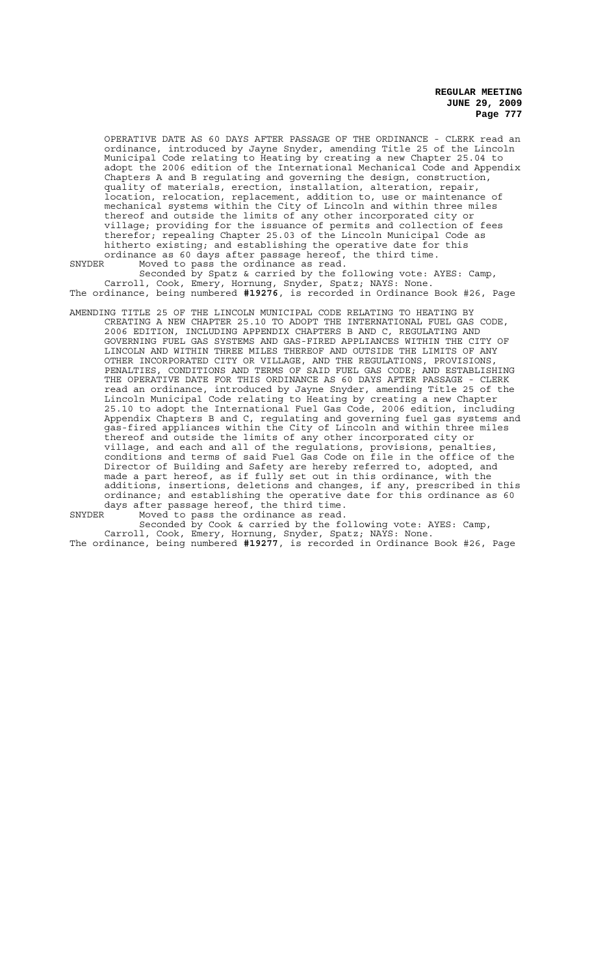OPERATIVE DATE AS 60 DAYS AFTER PASSAGE OF THE ORDINANCE - CLERK read an ordinance, introduced by Jayne Snyder, amending Title 25 of the Lincoln Municipal Code relating to Heating by creating a new Chapter 25.04 to adopt the 2006 edition of the International Mechanical Code and Appendix Chapters A and B regulating and governing the design, construction, quality of materials, erection, installation, alteration, repair, location, relocation, replacement, addition to, use or maintenance of mechanical systems within the City of Lincoln and within three miles thereof and outside the limits of any other incorporated city or village; providing for the issuance of permits and collection of fees therefor; repealing Chapter 25.03 of the Lincoln Municipal Code as hitherto existing; and establishing the operative date for this ordinance as 60 days after passage hereof, the third time.

SNYDER Moved to pass the ordinance as read. Seconded by Spatz & carried by the following vote: AYES: Camp, Carroll, Cook, Emery, Hornung, Snyder, Spatz; NAYS: None. The ordinance, being numbered **#19276**, is recorded in Ordinance Book #26, Page

AMENDING TITLE 25 OF THE LINCOLN MUNICIPAL CODE RELATING TO HEATING BY CREATING A NEW CHAPTER 25.10 TO ADOPT THE INTERNATIONAL FUEL GAS CODE, 2006 EDITION, INCLUDING APPENDIX CHAPTERS B AND C, REGULATING AND GOVERNING FUEL GAS SYSTEMS AND GAS-FIRED APPLIANCES WITHIN THE CITY OF LINCOLN AND WITHIN THREE MILES THEREOF AND OUTSIDE THE LIMITS OF ANY OTHER INCORPORATED CITY OR VILLAGE, AND THE REGULATIONS, PROVISIONS, PENALTIES, CONDITIONS AND TERMS OF SAID FUEL GAS CODE; AND ESTABLISHING THE OPERATIVE DATE FOR THIS ORDINANCE AS 60 DAYS AFTER PASSAGE - CLERK read an ordinance, introduced by Jayne Snyder, amending Title 25 of the Lincoln Municipal Code relating to Heating by creating a new Chapter 25.10 to adopt the International Fuel Gas Code, 2006 edition, including Appendix Chapters B and C, regulating and governing fuel gas systems and gas-fired appliances within the City of Lincoln and within three miles thereof and outside the limits of any other incorporated city or village, and each and all of the regulations, provisions, penalties, conditions and terms of said Fuel Gas Code on file in the office of the Director of Building and Safety are hereby referred to, adopted, and made a part hereof, as if fully set out in this ordinance, with the additions, insertions, deletions and changes, if any, prescribed in this ordinance; and establishing the operative date for this ordinance as 60 days after passage hereof, the third time.

SNYDER Moved to pass the ordinance as read.

Seconded by Cook & carried by the following vote: AYES: Camp, Carroll, Cook, Emery, Hornung, Snyder, Spatz; NAYS: None. The ordinance, being numbered **#19277**, is recorded in Ordinance Book #26, Page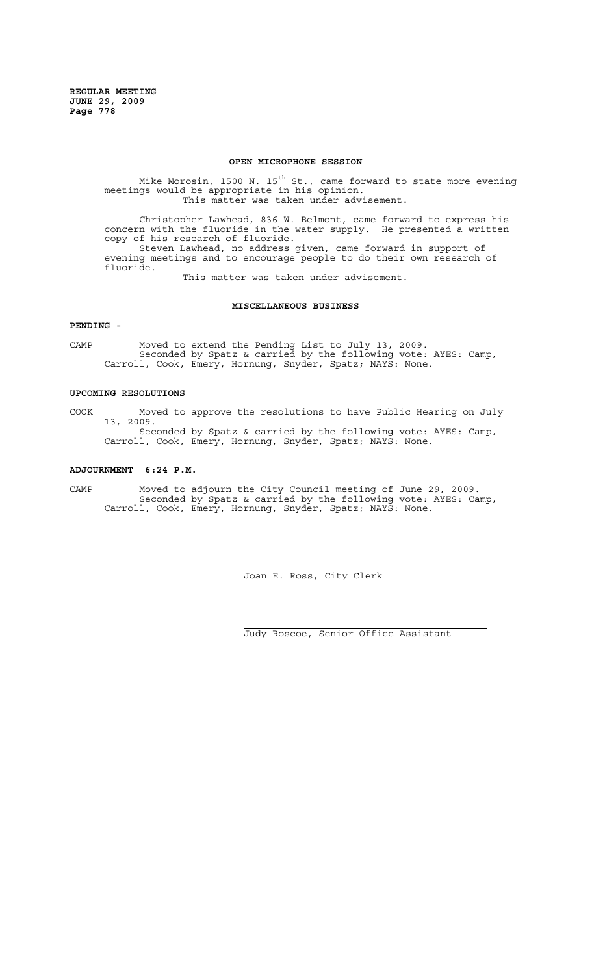#### **OPEN MICROPHONE SESSION**

Mike Morosin, 1500 N. 15<sup>th</sup> St., came forward to state more evening meetings would be appropriate in his opinion. This matter was taken under advisement.

Christopher Lawhead, 836 W. Belmont, came forward to express his concern with the fluoride in the water supply. He presented a written copy of his research of fluoride. Steven Lawhead, no address given, came forward in support of evening meetings and to encourage people to do their own research of fluoride.

This matter was taken under advisement.

### **MISCELLANEOUS BUSINESS**

#### **PENDING -**

CAMP Moved to extend the Pending List to July 13, 2009. Seconded by Spatz & carried by the following vote: AYES: Camp, Carroll, Cook, Emery, Hornung, Snyder, Spatz; NAYS: None.

#### **UPCOMING RESOLUTIONS**

COOK Moved to approve the resolutions to have Public Hearing on July 13, 2009. Seconded by Spatz & carried by the following vote: AYES: Camp, Carroll, Cook, Emery, Hornung, Snyder, Spatz; NAYS: None.

#### **ADJOURNMENT 6:24 P.M.**

CAMP Moved to adjourn the City Council meeting of June 29, 2009. Seconded by Spatz & carried by the following vote: AYES: Camp, Carroll, Cook, Emery, Hornung, Snyder, Spatz; NAYS: None.

 $\overline{a}$ 

i

Joan E. Ross, City Clerk

Judy Roscoe, Senior Office Assistant